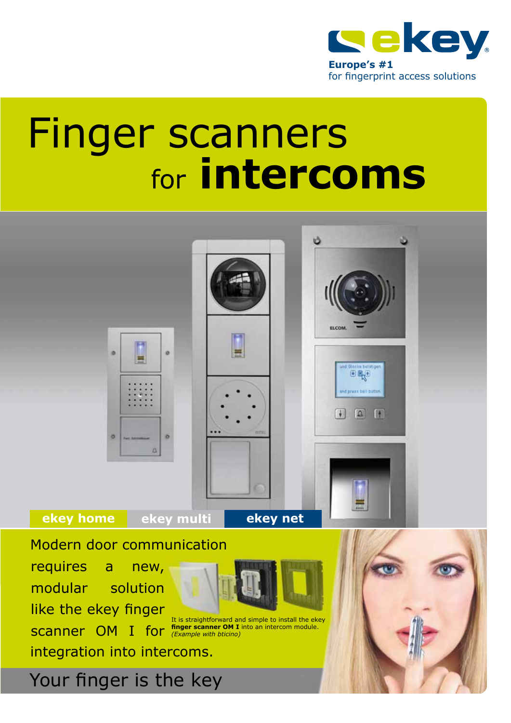

# Finger scanners for **intercoms**

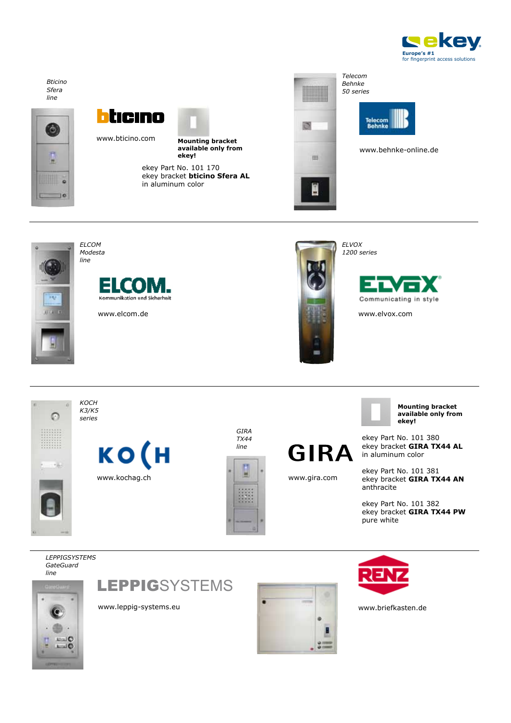







www.bticino.com



**Mounting bracket available only from ekey!**

ekey Part No. 101 170 ekey bracket **bticino Sfera AL**  in aluminum color



*Behnke 50 series*



www.behnke-online.de



Е Kommunikation und Sicherheit

www.elcom.de www.elvox.com

*Elcom Modesta line*



*Elvox 1200 series*





*line*

 $E = 10$  $-10$  **LEPPIGSYSTEMS** 





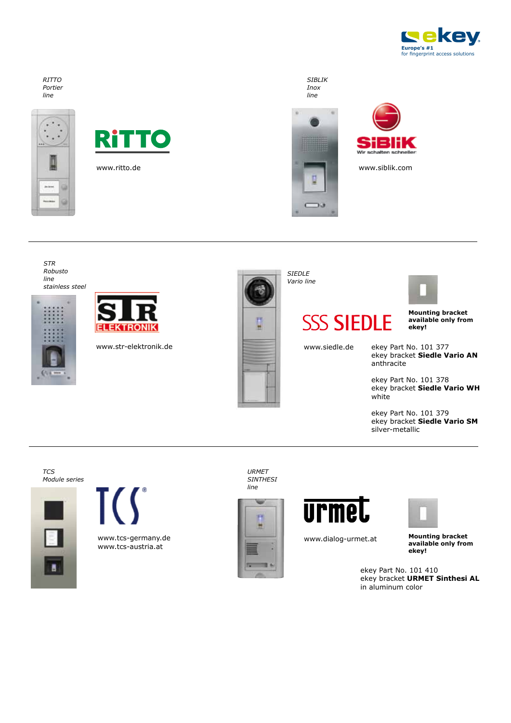

#### *RITTO Portier line*





www.ritto.de

*SIBLIK Inox line*





www.siblik.com



*TCS Module series*





www.tcs-germany.de www.tcs-austria.at

*URMET SINTHESI line*



**urmet** 



www.dialog-urmet.at

**Mounting bracket available only from ekey!**

ekey Part No. 101 410 ekey bracket **URMET Sinthesi AL** in aluminum color